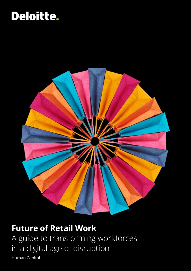### Deloitte.



### **Future of Retail Work**

A guide to transforming workforces in a digital age of disruption

Human Capital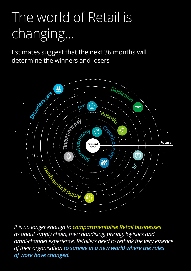# The world of Retail is changing…

Estimates suggest that the next 36 months will determine the winners and losers



02 *of work have changed.It is no longer enough to compartmentalise Retail businesses as about supply chain, merchandising, pricing, logistics and omni-channel experience. Retailers need to rethink the very essence of their organisation to survive in a new world where the rules*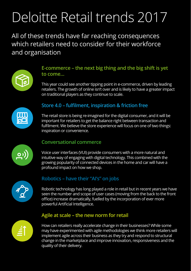# Deloitte Retail trends 2017

All of these trends have far reaching consequences which retailers need to consider for their workforce and organisation



#### **E-commerce – the next big thing and the big shift is yet to come…**

This year could see another tipping point in e-commerce, driven by leading retailers. The growth of online isn't over and is likely to have a greater impact on traditional players as they continue to scale.



#### **Store 4.0 – fulfilment, inspiration & friction free**

The retail store is being re-imagined for the digital consumer, and it will be important for retailers to get the balance right between transaction and fulfilment. We believe the store experience will focus on one of two things: inspiration or convenience.



#### **Conversational commerce**

Voice user interfaces (VUI) provide consumers with a more natural and intuitive way of engaging with digital technology. This combined with the growing popularity of connected devices in the home and car will have a profound impact on how we shop.



#### **Robotics – have their "AI's" on jobs**

Robotic technology has long played a role in retail but in recent years we have seen the number and scope of user cases (moving from the back to the front office) increase dramatically, fuelled by the incorporation of ever more powerful Artificial Intelligence.



#### **Agile at scale – the new norm for retail**

How can retailers really accelerate change in their businesses? While some may have experimented with agile methodologies we think more retailers will implement agile across their business as they try and respond to structural change in the marketplace and improve innovation, responsiveness and the quality of their delivery.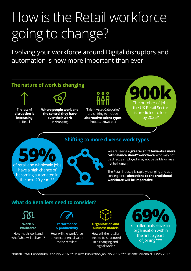# How is the Retail workforce going to change?

Evolving your workforce around Digital disruptors and automation is now more important than ever



**Work & workforce**

How much work and who/what will deliver it?

**Performance & productivity**

How will the workforce drive exponential value to the retailer?



How will the retailer need to be structured **business models**

in a changing and digital world?

organisation within the first 5 years of joining\*\*\*

\*British Retail Consortium February 2016, \*\*Deloitte Publication January 2016, \*\*\* Deloitte Millennial Survey 2017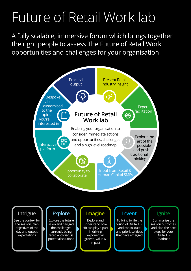### Future of Retail Work lab

A fully scalable, immersive forum which brings together the right people to assess The Future of Retail Work opportunities and challenges for your organisation